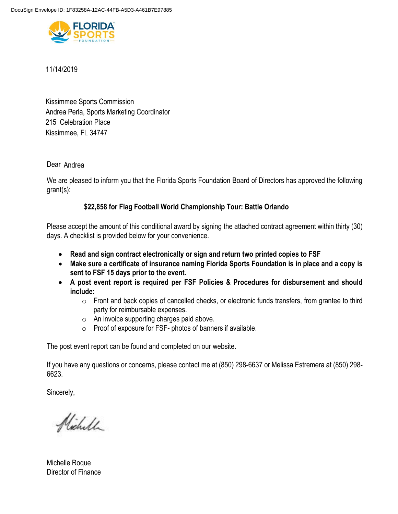

# 11/14/2019

Kissimmee, FL 34747 215 Celebration Place Kissimmee Sports Commission Andrea Perla, Sports Marketing Coordinator

# Dear Andrea

We are pleased to inform you that the Florida Sports Foundation Board of Directors has approved the following grant(s):

# **\$22,858 for Flag Football World Championship Tour: Battle Orlando**

Please accept the amount of this conditional award by signing the attached contract agreement within thirty (30) days. A checklist is provided below for your convenience.

- **Read and sign contract electronically or sign and return two printed copies to FSF**
- **Make sure a certificate of insurance naming Florida Sports Foundation is in place and a copy is sent to FSF 15 days prior to the event.**
- **A post event report is required per FSF Policies & Procedures for disbursement and should include:** 
	- o Front and back copies of cancelled checks, or electronic funds transfers, from grantee to third party for reimbursable expenses.
	- o An invoice supporting charges paid above.
	- o Proof of exposure for FSF- photos of banners if available.

The post event report can be found and completed on our website.

If you have any questions or concerns, please contact me at (850) 298-6637 or Melissa Estremera at (850) 298- 6623.

Sincerely,

Nicholl

Michelle Roque Director of Finance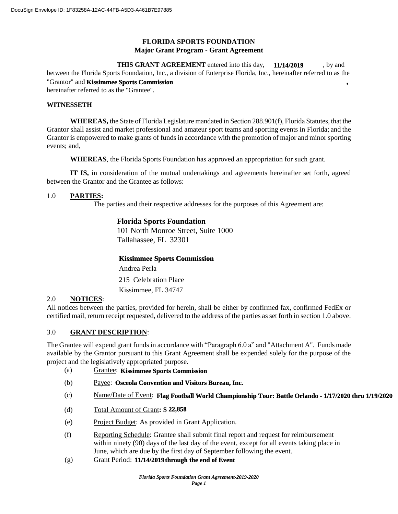## **FLORIDA SPORTS FOUNDATION Major Grant Program - Grant Agreement**

**THIS GRANT AGREEMENT** entered into this day, **11/14/2019**, by and between the Florida Sports Foundation, Inc., a division of Enterprise Florida, Inc., hereinafter referred to as the "Grantor" and **Kissimmee Sports Commission**, hereinafter referred to as the "Grantee". **11/14/2019**

#### **WITNESSETH**

**WHEREAS,** the State of Florida Legislature mandated in Section 288.901(f), Florida Statutes, that the Grantor shall assist and market professional and amateur sport teams and sporting events in Florida; and the Grantor is empowered to make grants of funds in accordance with the promotion of major and minor sporting events; and,

**WHEREAS**, the Florida Sports Foundation has approved an appropriation for such grant.

**IT IS,** in consideration of the mutual undertakings and agreements hereinafter set forth, agreed between the Grantor and the Grantee as follows:

### 1.0 **PARTIES:**

The parties and their respective addresses for the purposes of this Agreement are:

## **Florida Sports Foundation**

101 North Monroe Street, Suite 1000 Tallahassee, FL 32301

### **Kissimmee Sports Commission**

Kissimmee, FL 34747 215 Celebration Place Andrea Perla

### 2.0 **NOTICES**:

All notices between the parties, provided for herein, shall be either by confirmed fax, confirmed FedEx or certified mail, return receipt requested, delivered to the address of the parties as set forth in section 1.0 above.

### 3.0 **GRANT DESCRIPTION**:

The Grantee will expend grant funds in accordance with "Paragraph 6.0 a" and "Attachment A". Funds made available by the Grantor pursuant to this Grant Agreement shall be expended solely for the purpose of the project and the legislatively appropriated purpose.

- (a) Grantee: **Kissimmee Sports Commission**
- (b) Payee: **Osceola Convention and Visitors Bureau, Inc.**
- (c) Name/Date of Event: **Flag Football World Championship Tour: Battle Orlando 1/17/2020 thru 1/19/2020**
- (d) Total Amount of Grant**: \$ 22,858**
- (e) Project Budget: As provided in Grant Application.
- (f) Reporting Schedule: Grantee shall submit final report and request for reimbursement within ninety (90) days of the last day of the event, except for all events taking place in June, which are due by the first day of September following the event.
- (g) Grant Period: **11/14/2019 through the end of Event**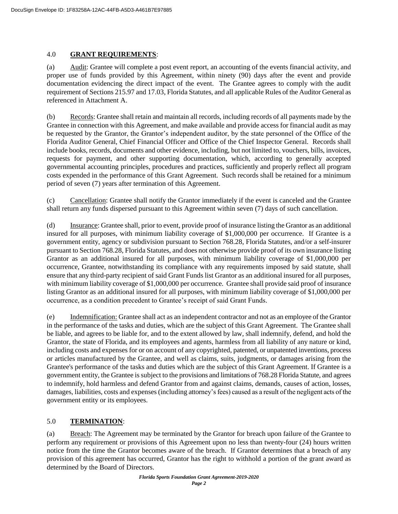### 4.0 **GRANT REQUIREMENTS**:

(a) Audit: Grantee will complete a post event report, an accounting of the events financial activity, and proper use of funds provided by this Agreement, within ninety (90) days after the event and provide documentation evidencing the direct impact of the event. The Grantee agrees to comply with the audit requirement of Sections 215.97 and 17.03, Florida Statutes, and all applicable Rules of the Auditor General as referenced in Attachment A.

(b) Records: Grantee shall retain and maintain all records, including records of all payments made by the Grantee in connection with this Agreement, and make available and provide access for financial audit as may be requested by the Grantor, the Grantor's independent auditor, by the state personnel of the Office of the Florida Auditor General, Chief Financial Officer and Office of the Chief Inspector General. Records shall include books, records, documents and other evidence, including, but not limited to, vouchers, bills, invoices, requests for payment, and other supporting documentation, which, according to generally accepted governmental accounting principles, procedures and practices, sufficiently and properly reflect all program costs expended in the performance of this Grant Agreement. Such records shall be retained for a minimum period of seven (7) years after termination of this Agreement.

(c) Cancellation: Grantee shall notify the Grantor immediately if the event is canceled and the Grantee shall return any funds dispersed pursuant to this Agreement within seven (7) days of such cancellation.

(d) Insurance: Grantee shall, prior to event, provide proof of insurance listing the Grantor as an additional insured for all purposes, with minimum liability coverage of \$1,000,000 per occurrence. If Grantee is a government entity, agency or subdivision pursuant to Section 768.28, Florida Statutes, and/or a self-insurer pursuant to Section 768.28, Florida Statutes, and does not otherwise provide proof of its own insurance listing Grantor as an additional insured for all purposes, with minimum liability coverage of \$1,000,000 per occurrence, Grantee, notwithstanding its compliance with any requirements imposed by said statute, shall ensure that any third-party recipient of said Grant Funds list Grantor as an additional insured for all purposes, with minimum liability coverage of \$1,000,000 per occurrence. Grantee shall provide said proof of insurance listing Grantor as an additional insured for all purposes, with minimum liability coverage of \$1,000,000 per occurrence, as a condition precedent to Grantee's receipt of said Grant Funds.

(e) Indemnification: Grantee shall act as an independent contractor and not as an employee of the Grantor in the performance of the tasks and duties, which are the subject of this Grant Agreement. The Grantee shall be liable, and agrees to be liable for, and to the extent allowed by law, shall indemnify, defend, and hold the Grantor, the state of Florida, and its employees and agents, harmless from all liability of any nature or kind, including costs and expenses for or on account of any copyrighted, patented, or unpatented inventions, process or articles manufactured by the Grantee, and well as claims, suits, judgments, or damages arising from the Grantee's performance of the tasks and duties which are the subject of this Grant Agreement. If Grantee is a government entity, the Grantee is subject to the provisions and limitations of 768.28 Florida Statute, and agrees to indemnify, hold harmless and defend Grantor from and against claims, demands, causes of action, losses, damages, liabilities, costs and expenses (including attorney's fees) caused as a result of the negligent acts of the government entity or its employees.

## 5.0 **TERMINATION**:

(a) Breach: The Agreement may be terminated by the Grantor for breach upon failure of the Grantee to perform any requirement or provisions of this Agreement upon no less than twenty-four (24) hours written notice from the time the Grantor becomes aware of the breach. If Grantor determines that a breach of any provision of this agreement has occurred, Grantor has the right to withhold a portion of the grant award as determined by the Board of Directors.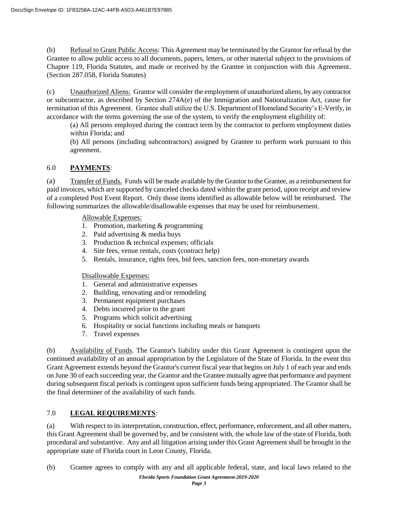(b) Refusal to Grant Public Access: This Agreement may be terminated by the Grantor for refusal by the Grantee to allow public access to all documents, papers, letters, or other material subject to the provisions of Chapter 119, Florida Statutes, and made or received by the Grantee in conjunction with this Agreement. (Section 287.058, Florida Statutes)

(c) Unauthorized Aliens: Grantor will consider the employment of unauthorized aliens, by any contractor or subcontractor, as described by Section 274A(e) of the Immigration and Nationalization Act, cause for termination of this Agreement. Grantee shall utilize the U.S. Department of Homeland Security's E-Verify, in accordance with the terms governing the use of the system, to verify the employment eligibility of:

(a) All persons employed during the contract term by the contractor to perform employment duties within Florida; and

(b) All persons (including subcontractors) assigned by Grantee to perform work pursuant to this agreement.

# 6.0 **PAYMENTS**:

(a) Transfer of Funds. Funds will be made available by the Grantor to the Grantee, as a reimbursement for paid invoices, which are supported by canceled checks dated within the grant period, upon receipt and review of a completed Post Event Report. Only those items identified as allowable below will be reimbursed. The following summarizes the allowable/disallowable expenses that may be used for reimbursement.

Allowable Expenses:

- 1. Promotion, marketing & programming
- 2. Paid advertising & media buys
- 3. Production & technical expenses; officials
- 4. Site fees, venue rentals, costs (contract help)
- 5. Rentals, insurance, rights fees, bid fees, sanction fees, non-monetary awards

### Disallowable Expenses:

- 1. General and administrative expenses
- 2. Building, renovating and/or remodeling
- 3. Permanent equipment purchases
- 4. Debts incurred prior to the grant
- 5. Programs which solicit advertising
- 6. Hospitality or social functions including meals or banquets
- 7. Travel expenses

(b) Availability of Funds. The Grantor's liability under this Grant Agreement is contingent upon the continued availability of an annual appropriation by the Legislature of the State of Florida. In the event this Grant Agreement extends beyond the Grantor's current fiscal year that begins on July 1 of each year and ends on June 30 of each succeeding year, the Grantor and the Grantee mutually agree that performance and payment during subsequent fiscal periods is contingent upon sufficient funds being appropriated. The Grantor shall be the final determiner of the availability of such funds.

## 7.0 **LEGAL REQUIREMENTS**:

(a) With respect to its interpretation, construction, effect, performance, enforcement, and all other matters, this Grant Agreement shall be governed by, and be consistent with, the whole law of the state of Florida, both procedural and substantive. Any and all litigation arising under this Grant Agreement shall be brought in the appropriate state of Florida court in Leon County, Florida.

(b) Grantee agrees to comply with any and all applicable federal, state, and local laws related to the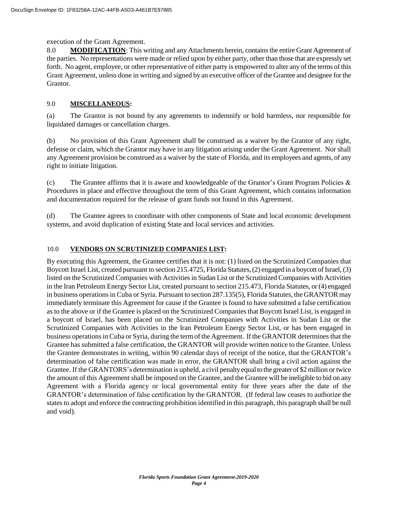#### execution of the Grant Agreement.

8.0 **MODIFICATION:** This writing and any Attachments herein, contains the entire Grant Agreement of the parties. No representations were made or relied upon by either party, other than those that are expressly set forth. No agent, employee, or other representative of either party is empowered to alter any of the terms of this Grant Agreement, unless done in writing and signed by an executive officer of the Grantee and designee for the Grantor.

### 9.0 **MISCELLANEOUS:**

(a) The Grantor is not bound by any agreements to indemnify or hold harmless, nor responsible for liquidated damages or cancellation charges.

(b) No provision of this Grant Agreement shall be construed as a waiver by the Grantor of any right, defense or claim, which the Grantor may have in any litigation arising under the Grant Agreement. Nor shall any Agreement provision be construed as a waiver by the state of Florida, and its employees and agents, of any right to initiate litigation.

(c) The Grantee affirms that it is aware and knowledgeable of the Grantor's Grant Program Policies  $\&$ Procedures in place and effective throughout the term of this Grant Agreement, which contains information and documentation required for the release of grant funds not found in this Agreement.

(d) The Grantee agrees to coordinate with other components of State and local economic development systems, and avoid duplication of existing State and local services and activities.

### 10.0 **VENDORS ON SCRUTINIZED COMPANIES LIST:**

By executing this Agreement, the Grantee certifies that it is not: (1) listed on the Scrutinized Companies that Boycott Israel List, created pursuant to section 215.4725, Florida Statutes, (2) engaged in a boycott of Israel, (3) listed on the Scrutinized Companies with Activities in Sudan List or the Scrutinized Companies with Activities in the Iran Petroleum Energy Sector List, created pursuant to section 215.473, Florida Statutes, or (4) engaged in business operations in Cuba or Syria. Pursuant to section 287.135(5), Florida Statutes, the GRANTOR may immediately terminate this Agreement for cause if the Grantee is found to have submitted a false certification as to the above or if the Grantee is placed on the Scrutinized Companies that Boycott Israel List, is engaged in a boycott of Israel, has been placed on the Scrutinized Companies with Activities in Sudan List or the Scrutinized Companies with Activities in the Iran Petroleum Energy Sector List, or has been engaged in business operationsin Cuba or Syria, during the term ofthe Agreement. Ifthe GRANTOR determines that the Grantee has submitted a false certification, the GRANTOR will provide written notice to the Grantee. Unless the Grantee demonstrates in writing, within 90 calendar days of receipt of the notice, that the GRANTOR's determination of false certification was made in error, the GRANTOR shall bring a civil action against the Grantee. If the GRANTORS's determination is upheld, a civil penalty equal to the greater of \$2 million or twice the amount of this Agreement shall be imposed on the Grantee, and the Grantee will be ineligible to bid on any Agreement with a Florida agency or local governmental entity for three years after the date of the GRANTOR's determination of false certification by the GRANTOR. (If federal law ceases to authorize the states to adopt and enforce the contracting prohibition identified in this paragraph, this paragraph shall be null and void).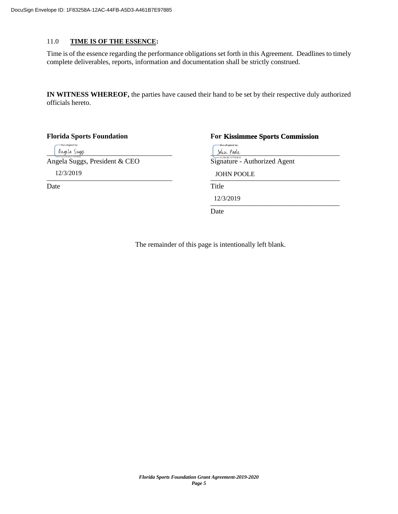### 11.0 **TIME IS OF THE ESSENCE:**

Time is of the essence regarding the performance obligations set forth in this Agreement. Deadlines to timely complete deliverables, reports, information and documentation shall be strictly construed.

**IN WITNESS WHEREOF,** the parties have caused their hand to be set by their respective duly authorized officials hereto.

| <b>Florida Sports Foundation</b> | <b>For Kissimmee Sports Commission</b>              |
|----------------------------------|-----------------------------------------------------|
| -DocuSigned by:<br>llugela Suggs | -DocuSigned by:<br>John Poole<br>$-4128496107F84D8$ |
| Angela Suggs, President & CEO    | Signature - Authorized Agent                        |
| 12/3/2019                        | <b>JOHN POOLE</b>                                   |
| Date                             | Title                                               |
|                                  | 12/3/2019                                           |
|                                  | Date                                                |

The remainder of this page is intentionally left blank.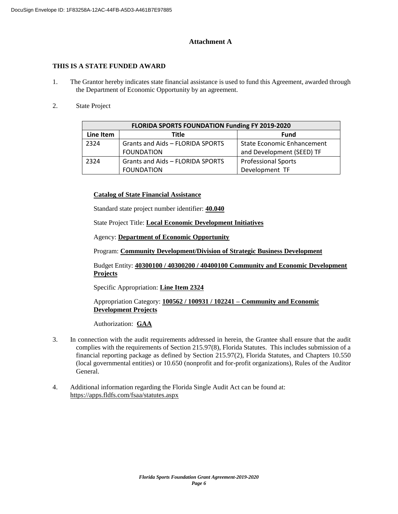### **Attachment A**

### **THIS IS A STATE FUNDED AWARD**

- 1. The Grantor hereby indicates state financial assistance is used to fund this Agreement, awarded through the Department of Economic Opportunity by an agreement.
- 2. State Project

|           | FLORIDA SPORTS FOUNDATION Funding FY 2019-2020 |                                   |  |  |  |  |
|-----------|------------------------------------------------|-----------------------------------|--|--|--|--|
| Line Item | Title                                          | <b>Fund</b>                       |  |  |  |  |
| 2324      | Grants and Aids - FLORIDA SPORTS               | <b>State Economic Enhancement</b> |  |  |  |  |
|           | <b>FOUNDATION</b>                              | and Development (SEED) TF         |  |  |  |  |
| 2324      | Grants and Aids - FLORIDA SPORTS               | <b>Professional Sports</b>        |  |  |  |  |
|           | <b>FOUNDATION</b>                              | Development TF                    |  |  |  |  |

### **Catalog of State Financial Assistance**

Standard state project number identifier: **40.040** 

State Project Title: **Local Economic Development Initiatives**

Agency: **Department of Economic Opportunity**

Program: **Community Development/Division of Strategic Business Development**

Budget Entity: **40300100 / 40300200 / 40400100 Community and Economic Development Projects**

Specific Appropriation: **Line Item 2324**

Appropriation Category: **100562 / 100931 / 102241 – Community and Economic Development Projects**

Authorization:**GAA**

- 3. In connection with the audit requirements addressed in herein, the Grantee shall ensure that the audit complies with the requirements of Section 215.97(8), Florida Statutes. This includes submission of a financial reporting package as defined by Section 215.97(2), Florida Statutes, and Chapters 10.550 (local governmental entities) or 10.650 (nonprofit and for-profit organizations), Rules of the Auditor General.
- 4. Additional information regarding the Florida Single Audit Act can be found at: https://apps.fldfs.com/fsaa/statutes.aspx